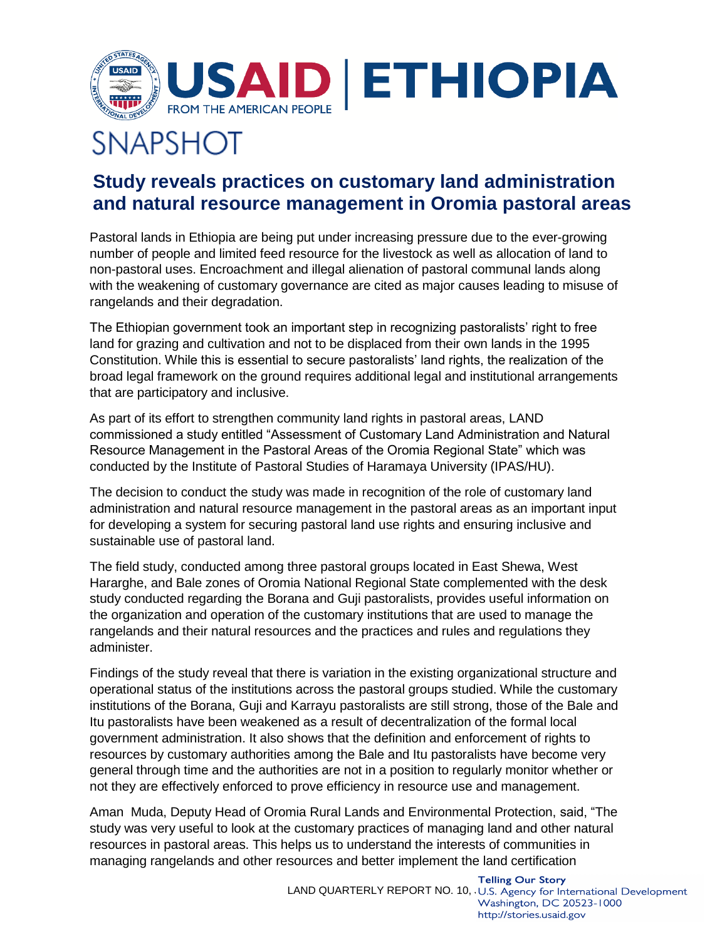

## **SNAPSHOT**

## **Study reveals practices on customary land administration and natural resource management in Oromia pastoral areas**

Pastoral lands in Ethiopia are being put under increasing pressure due to the ever-growing number of people and limited feed resource for the livestock as well as allocation of land to non-pastoral uses. Encroachment and illegal alienation of pastoral communal lands along with the weakening of customary governance are cited as major causes leading to misuse of rangelands and their degradation.

The Ethiopian government took an important step in recognizing pastoralists' right to free land for grazing and cultivation and not to be displaced from their own lands in the 1995 Constitution. While this is essential to secure pastoralists' land rights, the realization of the broad legal framework on the ground requires additional legal and institutional arrangements that are participatory and inclusive.

As part of its effort to strengthen community land rights in pastoral areas, LAND commissioned a study entitled "Assessment of Customary Land Administration and Natural Resource Management in the Pastoral Areas of the Oromia Regional State" which was conducted by the Institute of Pastoral Studies of Haramaya University (IPAS/HU).

The decision to conduct the study was made in recognition of the role of customary land administration and natural resource management in the pastoral areas as an important input for developing a system for securing pastoral land use rights and ensuring inclusive and sustainable use of pastoral land.

The field study, conducted among three pastoral groups located in East Shewa, West Hararghe, and Bale zones of Oromia National Regional State complemented with the desk study conducted regarding the Borana and Guji pastoralists, provides useful information on the organization and operation of the customary institutions that are used to manage the rangelands and their natural resources and the practices and rules and regulations they administer.

Findings of the study reveal that there is variation in the existing organizational structure and operational status of the institutions across the pastoral groups studied. While the customary institutions of the Borana, Guji and Karrayu pastoralists are still strong, those of the Bale and Itu pastoralists have been weakened as a result of decentralization of the formal local government administration. It also shows that the definition and enforcement of rights to resources by customary authorities among the Bale and Itu pastoralists have become very general through time and the authorities are not in a position to regularly monitor whether or not they are effectively enforced to prove efficiency in resource use and management.

Aman Muda, Deputy Head of Oromia Rural Lands and Environmental Protection, said, "The study was very useful to look at the customary practices of managing land and other natural resources in pastoral areas. This helps us to understand the interests of communities in managing rangelands and other resources and better implement the land certification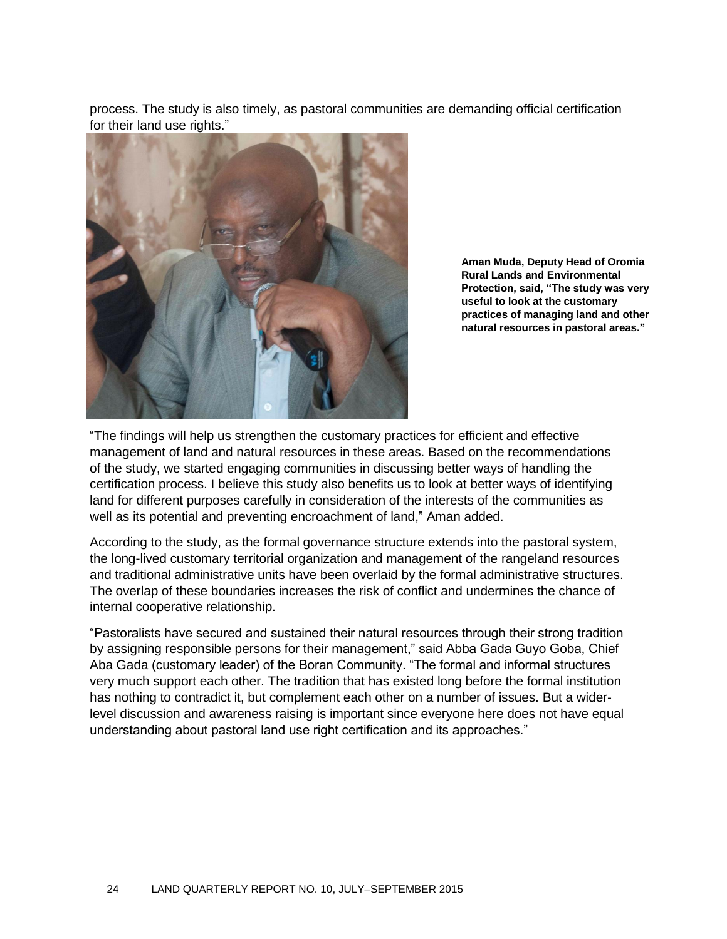process. The study is also timely, as pastoral communities are demanding official certification for their land use rights."



**Aman Muda, Deputy Head of Oromia Rural Lands and Environmental Protection, said, "The study was very useful to look at the customary practices of managing land and other natural resources in pastoral areas."**

"The findings will help us strengthen the customary practices for efficient and effective management of land and natural resources in these areas. Based on the recommendations of the study, we started engaging communities in discussing better ways of handling the certification process. I believe this study also benefits us to look at better ways of identifying land for different purposes carefully in consideration of the interests of the communities as well as its potential and preventing encroachment of land," Aman added.

According to the study, as the formal governance structure extends into the pastoral system, the long-lived customary territorial organization and management of the rangeland resources and traditional administrative units have been overlaid by the formal administrative structures. The overlap of these boundaries increases the risk of conflict and undermines the chance of internal cooperative relationship.

"Pastoralists have secured and sustained their natural resources through their strong tradition by assigning responsible persons for their management," said Abba Gada Guyo Goba, Chief Aba Gada (customary leader) of the Boran Community. "The formal and informal structures very much support each other. The tradition that has existed long before the formal institution has nothing to contradict it, but complement each other on a number of issues. But a widerlevel discussion and awareness raising is important since everyone here does not have equal understanding about pastoral land use right certification and its approaches."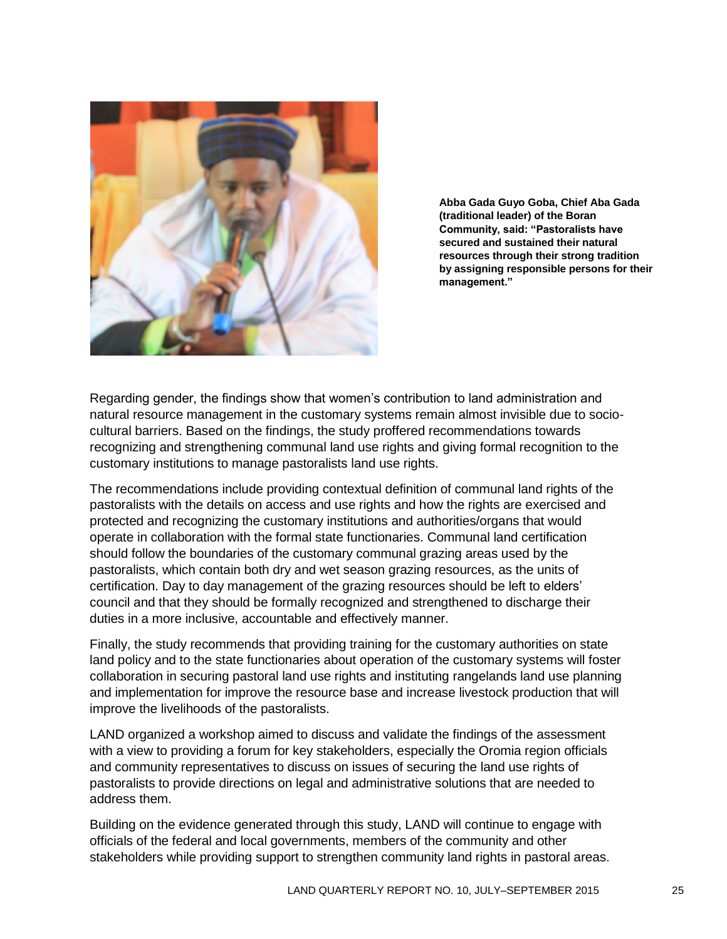

**Abba Gada Guyo Goba, Chief Aba Gada (traditional leader) of the Boran Community, said: "Pastoralists have secured and sustained their natural resources through their strong tradition by assigning responsible persons for their management."** 

Regarding gender, the findings show that women's contribution to land administration and natural resource management in the customary systems remain almost invisible due to sociocultural barriers. Based on the findings, the study proffered recommendations towards recognizing and strengthening communal land use rights and giving formal recognition to the customary institutions to manage pastoralists land use rights.

The recommendations include providing contextual definition of communal land rights of the pastoralists with the details on access and use rights and how the rights are exercised and protected and recognizing the customary institutions and authorities/organs that would operate in collaboration with the formal state functionaries. Communal land certification should follow the boundaries of the customary communal grazing areas used by the pastoralists, which contain both dry and wet season grazing resources, as the units of certification. Day to day management of the grazing resources should be left to elders' council and that they should be formally recognized and strengthened to discharge their duties in a more inclusive, accountable and effectively manner.

Finally, the study recommends that providing training for the customary authorities on state land policy and to the state functionaries about operation of the customary systems will foster collaboration in securing pastoral land use rights and instituting rangelands land use planning and implementation for improve the resource base and increase livestock production that will improve the livelihoods of the pastoralists.

LAND organized a workshop aimed to discuss and validate the findings of the assessment with a view to providing a forum for key stakeholders, especially the Oromia region officials and community representatives to discuss on issues of securing the land use rights of pastoralists to provide directions on legal and administrative solutions that are needed to address them.

Building on the evidence generated through this study, LAND will continue to engage with officials of the federal and local governments, members of the community and other stakeholders while providing support to strengthen community land rights in pastoral areas.